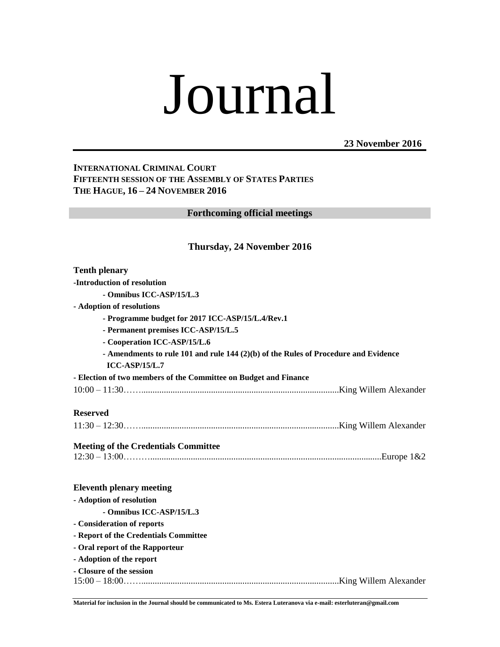# Journal

**23 November 2016**

# **INTERNATIONAL CRIMINAL COURT FIFTEENTH SESSION OF THE ASSEMBLY OF STATES PARTIES THE HAGUE, 16 – 24 NOVEMBER 2016**

**Forthcoming official meetings**

## **Thursday, 24 November 2016**

| <b>Tenth plenary</b>                                                                                      |  |  |
|-----------------------------------------------------------------------------------------------------------|--|--|
| -Introduction of resolution                                                                               |  |  |
| - Omnibus ICC-ASP/15/L.3                                                                                  |  |  |
| - Adoption of resolutions                                                                                 |  |  |
| - Programme budget for 2017 ICC-ASP/15/L.4/Rev.1                                                          |  |  |
| - Permanent premises ICC-ASP/15/L.5                                                                       |  |  |
| - Cooperation ICC-ASP/15/L.6                                                                              |  |  |
| - Amendments to rule 101 and rule 144 $(2)(b)$ of the Rules of Procedure and Evidence<br>$ICC-ASP/15/L.7$ |  |  |
| - Election of two members of the Committee on Budget and Finance                                          |  |  |
|                                                                                                           |  |  |
| <b>Reserved</b>                                                                                           |  |  |
|                                                                                                           |  |  |
| <b>Meeting of the Credentials Committee</b>                                                               |  |  |
|                                                                                                           |  |  |
| <b>Eleventh plenary meeting</b>                                                                           |  |  |
| - Adoption of resolution                                                                                  |  |  |
| - Omnibus ICC-ASP/15/L.3                                                                                  |  |  |
| - Consideration of reports                                                                                |  |  |
| - Report of the Credentials Committee                                                                     |  |  |
| - Oral report of the Rapporteur                                                                           |  |  |
| - Adoption of the report                                                                                  |  |  |
| - Closure of the session                                                                                  |  |  |

**Material for inclusion in the Journal should be communicated to Ms. Estera Luteranova via e-mail: esterluteran@gmail.com**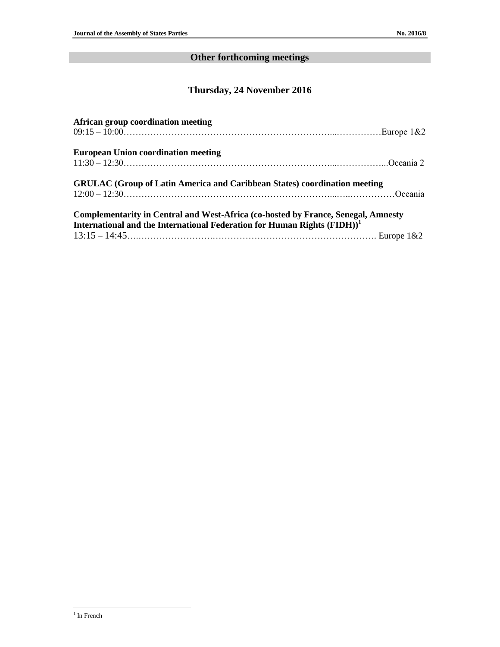# **Other forthcoming meetings**

# **Thursday, 24 November 2016**

| African group coordination meeting                                                                                                                                       |  |
|--------------------------------------------------------------------------------------------------------------------------------------------------------------------------|--|
| <b>European Union coordination meeting</b>                                                                                                                               |  |
| <b>GRULAC</b> (Group of Latin America and Caribbean States) coordination meeting<br>$12:00 - 12:30$ Oceania                                                              |  |
| <b>Complementarity in Central and West-Africa (co-hosted by France, Senegal, Amnesty</b><br>International and the International Federation for Human Rights $(FIDH)^{1}$ |  |
|                                                                                                                                                                          |  |